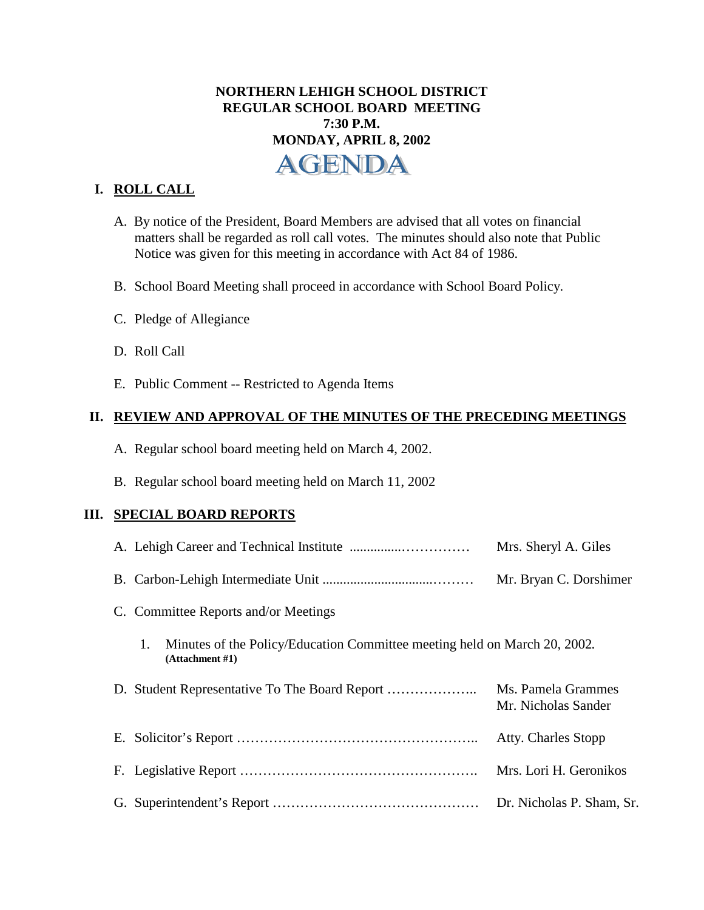# **NORTHERN LEHIGH SCHOOL DISTRICT REGULAR SCHOOL BOARD MEETING 7:30 P.M. MONDAY, APRIL 8, 2002**  AGENDA

## **I. ROLL CALL**

- A. By notice of the President, Board Members are advised that all votes on financial matters shall be regarded as roll call votes. The minutes should also note that Public Notice was given for this meeting in accordance with Act 84 of 1986.
- B. School Board Meeting shall proceed in accordance with School Board Policy.
- C. Pledge of Allegiance
- D. Roll Call
- E. Public Comment -- Restricted to Agenda Items

#### **II. REVIEW AND APPROVAL OF THE MINUTES OF THE PRECEDING MEETINGS**

- A. Regular school board meeting held on March 4, 2002.
- B. Regular school board meeting held on March 11, 2002

#### **III. SPECIAL BOARD REPORTS**

|                                                                                                       | Mrs. Sheryl A. Giles                      |
|-------------------------------------------------------------------------------------------------------|-------------------------------------------|
|                                                                                                       | Mr. Bryan C. Dorshimer                    |
| C. Committee Reports and/or Meetings                                                                  |                                           |
| Minutes of the Policy/Education Committee meeting held on March 20, 2002.<br>1.<br>(Attentionment #1) |                                           |
| D.                                                                                                    | Ms. Pamela Grammes<br>Mr. Nicholas Sander |
|                                                                                                       | Atty. Charles Stopp                       |
|                                                                                                       | Mrs. Lori H. Geronikos                    |
|                                                                                                       | Dr. Nicholas P. Sham, Sr.                 |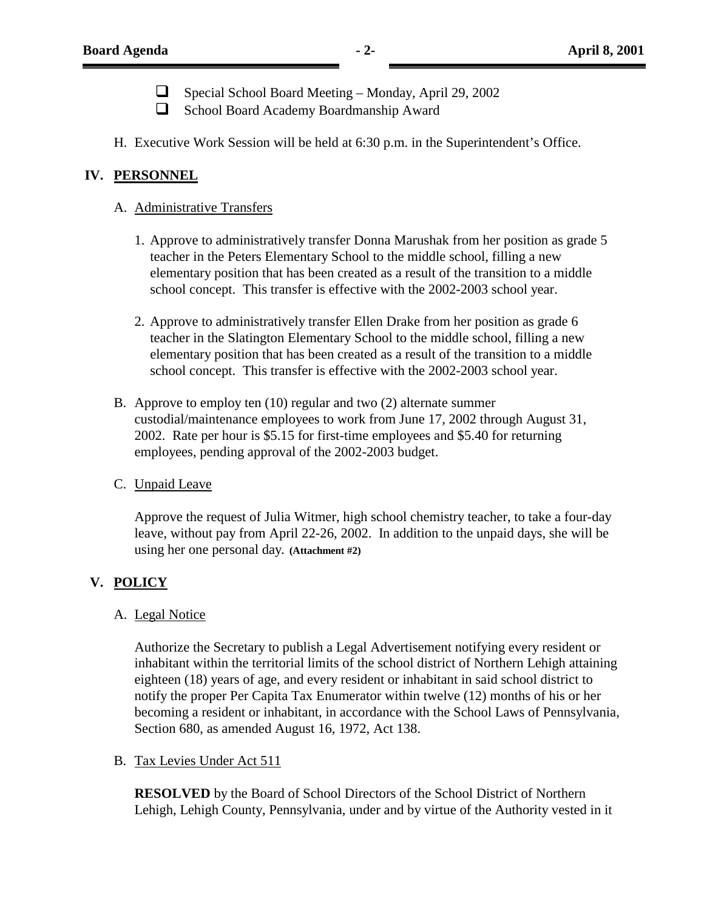$\Box$  Special School Board Meeting – Monday, April 29, 2002

- ! School Board Academy Boardmanship Award
- H. Executive Work Session will be held at 6:30 p.m. in the Superintendent's Office.

### **IV. PERSONNEL**

#### A. Administrative Transfers

- 1. Approve to administratively transfer Donna Marushak from her position as grade 5 teacher in the Peters Elementary School to the middle school, filling a new elementary position that has been created as a result of the transition to a middle school concept. This transfer is effective with the 2002-2003 school year.
- 2. Approve to administratively transfer Ellen Drake from her position as grade 6 teacher in the Slatington Elementary School to the middle school, filling a new elementary position that has been created as a result of the transition to a middle school concept. This transfer is effective with the 2002-2003 school year.
- B. Approve to employ ten (10) regular and two (2) alternate summer custodial/maintenance employees to work from June 17, 2002 through August 31, 2002. Rate per hour is \$5.15 for first-time employees and \$5.40 for returning employees, pending approval of the 2002-2003 budget.

#### C. Unpaid Leave

Approve the request of Julia Witmer, high school chemistry teacher, to take a four-day leave, without pay from April 22-26, 2002. In addition to the unpaid days, she will be using her one personal day**. (Attachment #2)**

### **V. POLICY**

#### A. Legal Notice

 Authorize the Secretary to publish a Legal Advertisement notifying every resident or inhabitant within the territorial limits of the school district of Northern Lehigh attaining eighteen (18) years of age, and every resident or inhabitant in said school district to notify the proper Per Capita Tax Enumerator within twelve (12) months of his or her becoming a resident or inhabitant, in accordance with the School Laws of Pennsylvania, Section 680, as amended August 16, 1972, Act 138.

#### B. Tax Levies Under Act 511

 **RESOLVED** by the Board of School Directors of the School District of Northern Lehigh, Lehigh County, Pennsylvania, under and by virtue of the Authority vested in it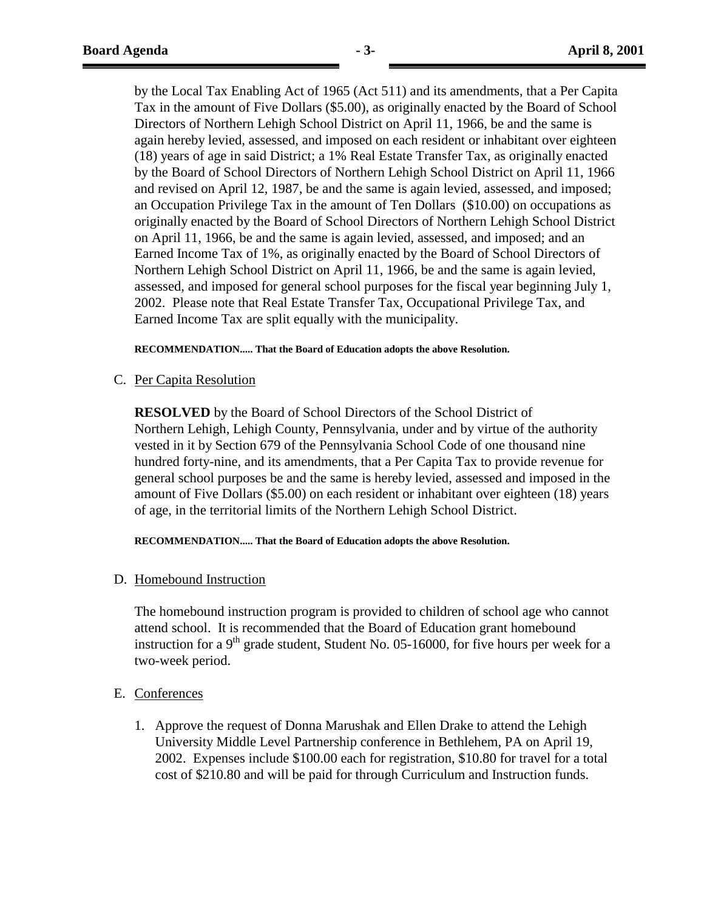by the Local Tax Enabling Act of 1965 (Act 511) and its amendments, that a Per Capita Tax in the amount of Five Dollars (\$5.00), as originally enacted by the Board of School Directors of Northern Lehigh School District on April 11, 1966, be and the same is again hereby levied, assessed, and imposed on each resident or inhabitant over eighteen (18) years of age in said District; a 1% Real Estate Transfer Tax, as originally enacted by the Board of School Directors of Northern Lehigh School District on April 11, 1966 and revised on April 12, 1987, be and the same is again levied, assessed, and imposed; an Occupation Privilege Tax in the amount of Ten Dollars (\$10.00) on occupations as originally enacted by the Board of School Directors of Northern Lehigh School District on April 11, 1966, be and the same is again levied, assessed, and imposed; and an Earned Income Tax of 1%, as originally enacted by the Board of School Directors of Northern Lehigh School District on April 11, 1966, be and the same is again levied, assessed, and imposed for general school purposes for the fiscal year beginning July 1, 2002. Please note that Real Estate Transfer Tax, Occupational Privilege Tax, and Earned Income Tax are split equally with the municipality.

#### **RECOMMENDATION..... That the Board of Education adopts the above Resolution.**

C. Per Capita Resolution

 **RESOLVED** by the Board of School Directors of the School District of Northern Lehigh, Lehigh County, Pennsylvania, under and by virtue of the authority vested in it by Section 679 of the Pennsylvania School Code of one thousand nine hundred forty-nine, and its amendments, that a Per Capita Tax to provide revenue for general school purposes be and the same is hereby levied, assessed and imposed in the amount of Five Dollars (\$5.00) on each resident or inhabitant over eighteen (18) years of age, in the territorial limits of the Northern Lehigh School District.

**RECOMMENDATION..... That the Board of Education adopts the above Resolution.**

D. Homebound Instruction

The homebound instruction program is provided to children of school age who cannot attend school. It is recommended that the Board of Education grant homebound instruction for a  $9<sup>th</sup>$  grade student, Student No. 05-16000, for five hours per week for a two-week period.

- E. Conferences
	- 1. Approve the request of Donna Marushak and Ellen Drake to attend the Lehigh University Middle Level Partnership conference in Bethlehem, PA on April 19, 2002. Expenses include \$100.00 each for registration, \$10.80 for travel for a total cost of \$210.80 and will be paid for through Curriculum and Instruction funds.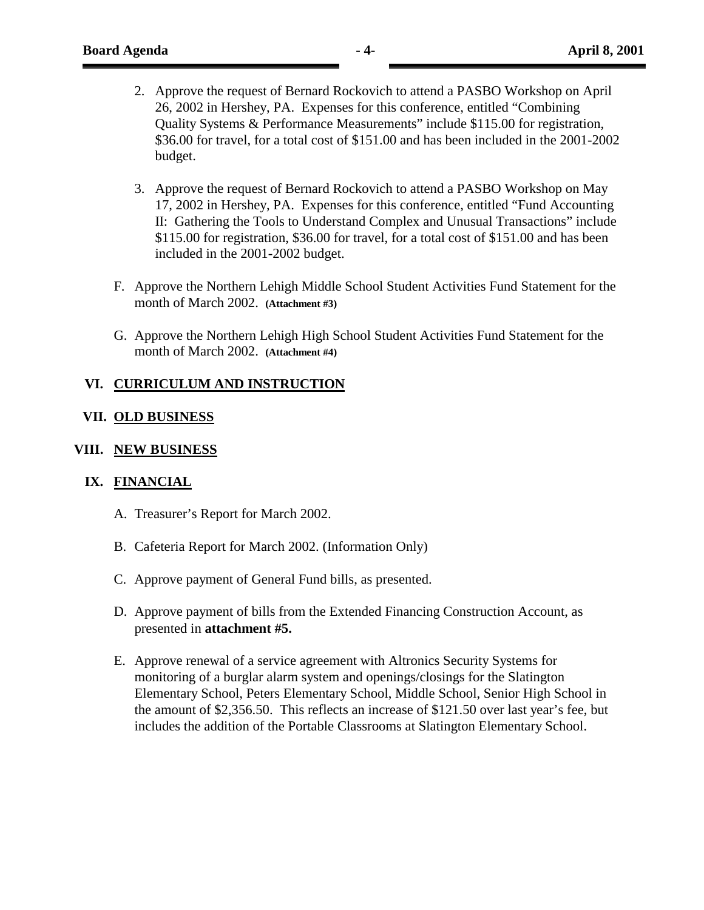- 2. Approve the request of Bernard Rockovich to attend a PASBO Workshop on April 26, 2002 in Hershey, PA. Expenses for this conference, entitled "Combining Quality Systems & Performance Measurements" include \$115.00 for registration, \$36.00 for travel, for a total cost of \$151.00 and has been included in the 2001-2002 budget.
- 3. Approve the request of Bernard Rockovich to attend a PASBO Workshop on May 17, 2002 in Hershey, PA. Expenses for this conference, entitled "Fund Accounting II: Gathering the Tools to Understand Complex and Unusual Transactions" include \$115.00 for registration, \$36.00 for travel, for a total cost of \$151.00 and has been included in the 2001-2002 budget.
- F. Approve the Northern Lehigh Middle School Student Activities Fund Statement for the month of March 2002. **(Attachment #3)**
- G. Approve the Northern Lehigh High School Student Activities Fund Statement for the month of March 2002. **(Attachment #4)**

### **VI. CURRICULUM AND INSTRUCTION**

#### **VII. OLD BUSINESS**

#### **VIII. NEW BUSINESS**

#### **IX. FINANCIAL**

- A. Treasurer's Report for March 2002.
- B. Cafeteria Report for March 2002. (Information Only)
- C. Approve payment of General Fund bills, as presented.
- D. Approve payment of bills from the Extended Financing Construction Account, as presented in **attachment #5.**
- E. Approve renewal of a service agreement with Altronics Security Systems for monitoring of a burglar alarm system and openings/closings for the Slatington Elementary School, Peters Elementary School, Middle School, Senior High School in the amount of \$2,356.50. This reflects an increase of \$121.50 over last year's fee, but includes the addition of the Portable Classrooms at Slatington Elementary School.